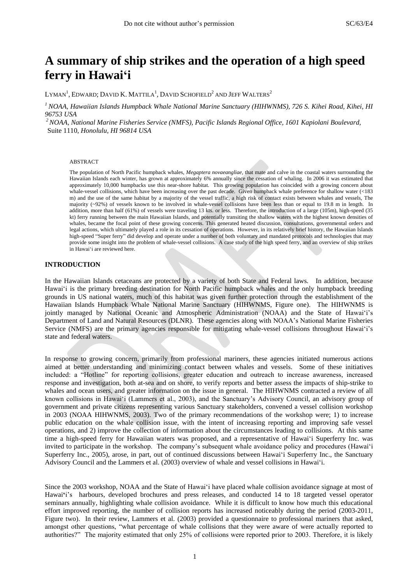# **A summary of ship strikes and the operation of a high speed ferry in Hawai'i**

LYMAN<sup>1</sup>, EDWARD; DAVID K. MATTILA<sup>1</sup>, DAVID SCHOFIELD $^2$  and Jeff Walters $^2$ 

*<sup>1</sup> NOAA, Hawaiian Islands Humpback Whale National Marine Sanctuary (HIHWNMS), 726 S. Kihei Road, Kihei, HI 96753 USA*

*<sup>2</sup>NOAA, National Marine Fisheries Service (NMFS), Pacific Islands Regional Office, 1601 Kapiolani Boulevard,*  Suite 1110, *Honolulu, HI 96814 USA*

#### ABSTRACT

The population of North Pacific humpback whales, *Megaptera novaeangliae*, that mate and calve in the coastal waters surrounding the Hawaiian Islands each winter, has grown at approximately 6% annually since the cessation of whaling. In 2006 it was estimated that approximately 10,000 humpbacks use this near-shore habitat. This growing population has coincided with a growing concern about whale-vessel collisions, which have been increasing over the past decade. Given humpback whale preference for shallow water (<183 m) and the use of the same habitat by a majority of the vessel traffic, a high risk of contact exists between whales and vessels, The majority (~92%) of vessels known to be involved in whale-vessel collisions have been less than or equal to 19.8 m in length. In addition, more than half (61%) of vessels were traveling 13 kts. or less. Therefore, the introduction of a large (105m), high-speed (35 kt) ferry running between the main Hawaiian Islands, and potentially transiting the shallow waters with the highest known densities of whales, became the focal point of these growing concerns. This generated heated discussion, consultations, governmental orders and legal actions, which ultimately played a role in its cessation of operations. However, in its relatively brief history, the Hawaiian Islands high-speed "Super ferry" did develop and operate under a number of both voluntary and mandated protocols and technologies that may provide some insight into the problem of whale-vessel collisions. A case study of the high speed ferry, and an overview of ship strikes in Hawai"i are reviewed here.

#### **INTRODUCTION**

In the Hawaiian Islands cetaceans are protected by a variety of both State and Federal laws. In addition, because Hawai"i is the primary breeding destination for North Pacific humpback whales and the only humpback breeding grounds in US national waters, much of this habitat was given further protection through the establishment of the Hawaiian Islands Humpback Whale National Marine Sanctuary (HIHWNMS, Figure one). The HIHWNMS is jointly managed by National Oceanic and Atmospheric Administration (NOAA) and the State of Hawai'i's Department of Land and Natural Resources (DLNR). These agencies along with NOAA"s National Marine Fisheries Service (NMFS) are the primary agencies responsible for mitigating whale-vessel collisions throughout Hawai'i's state and federal waters.

In response to growing concern, primarily from professional mariners, these agencies initiated numerous actions aimed at better understanding and minimizing contact between whales and vessels. Some of these initiatives included: a "Hotline" for reporting collisions, greater education and outreach to increase awareness, increased response and investigation, both at-sea and on shore, to verify reports and better assess the impacts of ship-strike to whales and ocean users, and greater information on the issue in general. The HIHWNMS contracted a review of all known collisions in Hawai"i (Lammers et al., 2003), and the Sanctuary"s Advisory Council, an advisory group of government and private citizens representing various Sanctuary stakeholders, convened a vessel collision workshop in 2003 (NOAA HIHWNMS, 2003). Two of the primary recommendations of the workshop were; 1) to increase public education on the whale collision issue, with the intent of increasing reporting and improving safe vessel operations, and 2) improve the collection of information about the circumstances leading to collisions. At this same time a high-speed ferry for Hawaiian waters was proposed, and a representative of Hawai"i Superferry Inc. was invited to participate in the workshop. The company's subsequent whale avoidance policy and procedures (Hawai'i Superferry Inc., 2005), arose, in part, out of continued discussions between Hawai"i Superferry Inc., the Sanctuary Advisory Council and the Lammers et al. (2003) overview of whale and vessel collisions in Hawai"i.

Since the 2003 workshop, NOAA and the State of Hawai"i have placed whale collision avoidance signage at most of Hawai<sup>t</sup>i's harbours, developed brochures and press releases, and conducted 14 to 18 targeted vessel operator seminars annually, highlighting whale collision avoidance. While it is difficult to know how much this educational effort improved reporting, the number of collision reports has increased noticeably during the period (2003-2011, Figure two). In their review, Lammers et al. (2003) provided a questionnaire to professional mariners that asked, amongst other questions, "what percentage of whale collisions that they were aware of were actually reported to authorities?" The majority estimated that only 25% of collisions were reported prior to 2003. Therefore, it is likely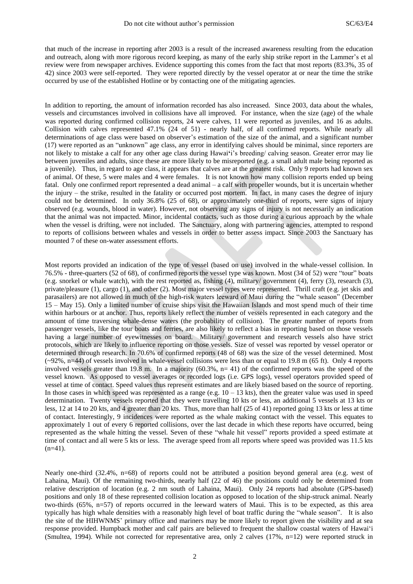that much of the increase in reporting after 2003 is a result of the increased awareness resulting from the education and outreach, along with more rigorous record keeping, as many of the early ship strike report in the Lammer"s et al review were from newspaper archives. Evidence supporting this comes from the fact that most reports (83.3%, 35 of 42) since 2003 were self-reported. They were reported directly by the vessel operator at or near the time the strike occurred by use of the established Hotline or by contacting one of the mitigating agencies.

In addition to reporting, the amount of information recorded has also increased. Since 2003, data about the whales, vessels and circumstances involved in collisions have all improved. For instance, when the size (age) of the whale was reported during confirmed collision reports, 24 were calves, 11 were reported as juveniles, and 16 as adults. Collision with calves represented 47.1% (24 of 51) - nearly half, of all confirmed reports. While nearly all determinations of age class were based on observer's estimation of the size of the animal, and a significant number (17) were reported as an "unknown" age class, any error in identifying calves should be minimal, since reporters are not likely to mistake a calf for any other age class during Hawai**'**i"s breeding/ calving season. Greater error may lie between juveniles and adults, since these are more likely to be misreported (e.g. a small adult male being reported as a juvenile). Thus, in regard to age class, it appears that calves are at the greatest risk. Only 9 reports had known sex of animal. Of these, 5 were males and 4 were females. It is not known how many collision reports ended up being fatal. Only one confirmed report represented a dead animal – a calf with propeller wounds, but it is uncertain whether the injury – the strike, resulted in the fatality or occurred post mortem. In fact, in many cases the degree of injury could not be determined. In only 36.8% (25 of 68), or approximately one-third of reports, were signs of injury observed (e.g. wounds, blood in water). However, not observing any signs of injury is not necessarily an indication that the animal was not impacted. Minor, incidental contacts, such as those during a curious approach by the whale when the vessel is drifting, were not included. The Sanctuary, along with partnering agencies, attempted to respond to reports of collisions between whales and vessels in order to better assess impact. Since 2003 the Sanctuary has mounted 7 of these on-water assessment efforts.

Most reports provided an indication of the type of vessel (based on use) involved in the whale-vessel collision. In 76.5% - three-quarters (52 of 68), of confirmed reports the vessel type was known. Most (34 of 52) were "tour" boats (e.g. snorkel or whale watch), with the rest reported as, fishing (4), military/ government (4), ferry (3), research (3), private/pleasure (1), cargo (1), and other (2). Most major vessel types were represented. Thrill craft (e.g. jet skis and parasailers) are not allowed in much of the high-risk waters leeward of Maui during the "whale season" (December 15 – May 15). Only a limited number of cruise ships visit the Hawaiian Islands and most spend much of their time within harbours or at anchor. Thus, reports likely reflect the number of vessels represented in each category and the amount of time traversing whale-dense waters (the probability of collision). The greater number of reports from passenger vessels, like the tour boats and ferries, are also likely to reflect a bias in reporting based on those vessels having a large number of eyewitnesses on board. Military/ government and research vessels also have strict protocols, which are likely to influence reporting on those vessels. Size of vessel was reported by vessel operator or determined through research. In 70.6% of confirmed reports (48 of 68) was the size of the vessel determined. Most  $(-92\%, n=44)$  of vessels involved in whale-vessel collisions were less than or equal to 19.8 m (65 ft). Only 4 reports involved vessels greater than 19.8 m. In a majority (60.3%, n= 41) of the confirmed reports was the speed of the vessel known. As opposed to vessel averages or recorded logs (i.e. GPS logs), vessel operators provided speed of vessel at time of contact. Speed values thus represent estimates and are likely biased based on the source of reporting. In those cases in which speed was represented as a range (e.g.  $10 - 13$  kts), then the greater value was used in speed determination. Twenty vessels reported that they were travelling 10 kts or less, an additional 5 vessels at 13 kts or less, 12 at 14 to 20 kts, and 4 greater than 20 kts. Thus, more than half (25 of 41) reported going 13 kts or less at time of contact. Interestingly, 9 incidences were reported as the whale making contact with the vessel. This equates to approximately 1 out of every 6 reported collisions, over the last decade in which these reports have occurred, being represented as the whale hitting the vessel. Seven of these "whale hit vessel" reports provided a speed estimate at time of contact and all were 5 kts or less. The average speed from all reports where speed was provided was 11.5 kts  $(n=41)$ .

Nearly one-third (32.4%, n=68) of reports could not be attributed a position beyond general area (e.g. west of Lahaina, Maui). Of the remaining two-thirds, nearly half (22 of 46) the positions could only be determined from relative description of location (e.g. 2 nm south of Lahaina, Maui). Only 24 reports had absolute (GPS-based) positions and only 18 of these represented collision location as opposed to location of the ship-struck animal. Nearly two-thirds (65%, n=57) of reports occurred in the leeward waters of Maui. This is to be expected, as this area typically has high whale densities with a reasonably high level of boat traffic during the "whale season". It is also the site of the HIHWNMS" primary office and mariners may be more likely to report given the visibility and at sea response provided. Humpback mother and calf pairs are believed to frequent the shallow coastal waters of Hawai"i (Smultea, 1994). While not corrected for representative area, only 2 calves (17%, n=12) were reported struck in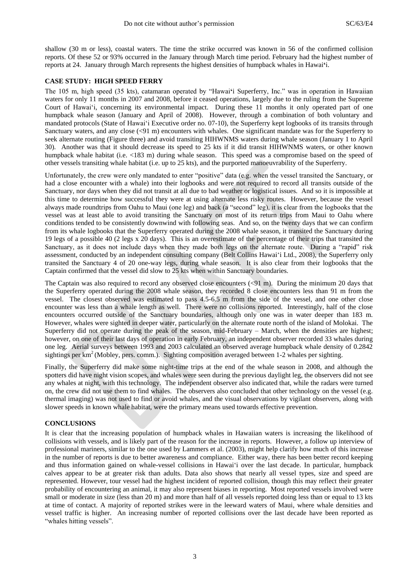shallow (30 m or less), coastal waters. The time the strike occurred was known in 56 of the confirmed collision reports. Of these 52 or 93% occurred in the January through March time period. February had the highest number of reports at 24. January through March represents the highest densities of humpback whales in Hawai**'**i.

# **CASE STUDY: HIGH SPEED FERRY**

The 105 m, high speed (35 kts), catamaran operated by "Hawai**'**i Superferry, Inc." was in operation in Hawaiian waters for only 11 months in 2007 and 2008, before it ceased operations, largely due to the ruling from the Supreme Court of Hawai'i, concerning its environmental impact. During these 11 months it only operated part of one humpback whale season (January and April of 2008). However, through a combination of both voluntary and mandated protocols (State of Hawai'i Executive order no. 07-10), the Superferry kept logbooks of its transits through Sanctuary waters, and any close (<91 m) encounters with whales. One significant mandate was for the Superferry to seek alternate routing (Figure three) and avoid transiting HIHWNMS waters during whale season (January 1 to April 30). Another was that it should decrease its speed to 25 kts if it did transit HIHWNMS waters, or other known humpback whale habitat (i.e. <183 m) during whale season. This speed was a compromise based on the speed of other vessels transiting whale habitat (i.e. up to 25 kts), and the purported manoeuvrability of the Superferry.

Unfortunately, the crew were only mandated to enter "positive" data (e.g. when the vessel transited the Sanctuary, or had a close encounter with a whale) into their logbooks and were not required to record all transits outside of the Sanctuary, nor days when they did not transit at all due to bad weather or logistical issues. And so it is impossible at this time to determine how successful they were at using alternate less risky routes. However, because the vessel always made roundtrips from Oahu to Maui (one leg) and back (a "second" leg), it is clear from the logbooks that the vessel was at least able to avoid transiting the Sanctuary on most of its return trips from Maui to Oahu where conditions tended to be consistently downwind with following seas. And so, on the twenty days that we can confirm from its whale logbooks that the Superferry operated during the 2008 whale season, it transited the Sanctuary during 19 legs of a possible 40 (2 legs x 20 days). This is an overestimate of the percentage of their trips that transited the Sanctuary, as it does not include days when they made both legs on the alternate route. During a "rapid" risk assessment, conducted by an independent consulting company (Belt Collins Hawai"i Ltd., 2008), the Superferry only transited the Sanctuary 4 of 20 one-way legs, during whale season. It is also clear from their logbooks that the Captain confirmed that the vessel did slow to 25 kts when within Sanctuary boundaries.

The Captain was also required to record any observed close encounters (<91 m). During the minimum 20 days that the Superferry operated during the 2008 whale season, they recorded 8 close encounters less than 91 m from the vessel. The closest observed was estimated to pass 4.5-6.5 m from the side of the vessel, and one other close encounter was less than a whale length as well. There were no collisions reported. Interestingly, half of the close encounters occurred outside of the Sanctuary boundaries, although only one was in water deeper than 183 m. However, whales were sighted in deeper water, particularly on the alternate route north of the island of Molokai. The Superferry did not operate during the peak of the season, mid-February – March, when the densities are highest; however, on one of their last days of operation in early February, an independent observer recorded 33 whales during one leg. Aerial surveys between 1993 and 2003 calculated an observed average humpback whale density of 0.2842 sightings per km<sup>2</sup> (Mobley, pers. comm.). Sighting composition averaged between 1-2 whales per sighting.

Finally, the Superferry did make some night-time trips at the end of the whale season in 2008, and although the spotters did have night vision scopes, and whales were seen during the previous daylight leg, the observers did not see any whales at night, with this technology. The independent observer also indicated that, while the radars were turned on, the crew did not use them to find whales. The observers also concluded that other technology on the vessel (e.g. thermal imaging) was not used to find or avoid whales, and the visual observations by vigilant observers, along with slower speeds in known whale habitat, were the primary means used towards effective prevention.

# **CONCLUSIONS**

It is clear that the increasing population of humpback whales in Hawaiian waters is increasing the likelihood of collisions with vessels, and is likely part of the reason for the increase in reports. However, a follow up interview of professional mariners, similar to the one used by Lammers et al. (2003), might help clarify how much of this increase in the number of reports is due to better awareness and compliance. Either way, there has been better record keeping and thus information gained on whale-vessel collisions in Hawai"i over the last decade. In particular, humpback calves appear to be at greater risk than adults. Data also shows that nearly all vessel types, size and speed are represented. However, tour vessel had the highest incident of reported collision, though this may reflect their greater probability of encountering an animal, it may also represent biases in reporting. Most reported vessels involved were small or moderate in size (less than 20 m) and more than half of all vessels reported doing less than or equal to 13 kts at time of contact. A majority of reported strikes were in the leeward waters of Maui, where whale densities and vessel traffic is higher. An increasing number of reported collisions over the last decade have been reported as "whales hitting vessels".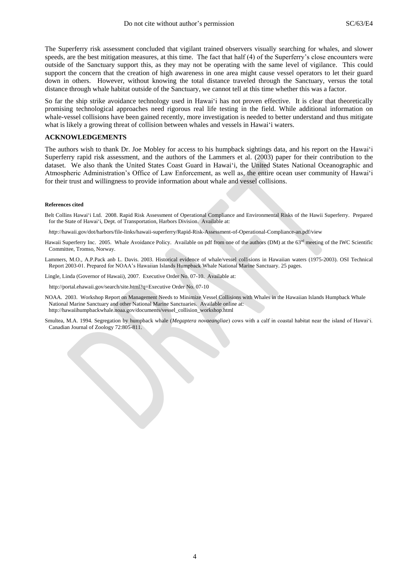The Superferry risk assessment concluded that vigilant trained observers visually searching for whales, and slower speeds, are the best mitigation measures, at this time. The fact that half (4) of the Superferry's close encounters were outside of the Sanctuary support this, as they may not be operating with the same level of vigilance. This could support the concern that the creation of high awareness in one area might cause vessel operators to let their guard down in others. However, without knowing the total distance traveled through the Sanctuary, versus the total distance through whale habitat outside of the Sanctuary, we cannot tell at this time whether this was a factor.

So far the ship strike avoidance technology used in Hawai'i has not proven effective. It is clear that theoretically promising technological approaches need rigorous real life testing in the field. While additional information on whale-vessel collisions have been gained recently, more investigation is needed to better understand and thus mitigate what is likely a growing threat of collision between whales and vessels in Hawai"i waters.

# **ACKNOWLEDGEMENTS**

The authors wish to thank Dr. Joe Mobley for access to his humpback sightings data, and his report on the Hawai"i Superferry rapid risk assessment, and the authors of the Lammers et al. (2003) paper for their contribution to the dataset. We also thank the United States Coast Guard in Hawai"i, the United States National Oceanographic and Atmospheric Administration"s Office of Law Enforcement, as well as, the entire ocean user community of Hawai"i for their trust and willingness to provide information about whale and vessel collisions.

#### **References cited**

Belt Collins Hawai"i Ltd. 2008. Rapid Risk Assessment of Operational Compliance and Environmental Risks of the Hawii Superferry. Prepared for the State of Hawai"i, Dept. of Transportation, Harbors Division. Available at:

*http*://hawaii.gov/dot/harbors/file-links/hawaii-superferry/Rapid-Risk-Assessment-of-Operational-Compliance-an.pdf/view

- Hawaii Superferry Inc. 2005. Whale Avoidance Policy. Available on pdf from one of the authors (DM) at the 63<sup>rd</sup> meeting of the IWC Scientific Committee, Tromso, Norway.
- Lammers, M.O., A.P.Pack anb L. Davis. 2003. Historical evidence of whale/vessel collisions in Hawaiian waters (1975-2003). OSI Technical Report 2003-01. Prepared for NOAA"s Hawaiian Islands Humpback Whale National Marine Sanctuary. 25 pages.

Lingle, Linda (Governor of Hawaii), 2007. Executive Order No. 07-10. Available at:

http://portal.ehawaii.gov/search/site.html?q=Executive Order No. 07-10

- NOAA. 2003. Workshop Report on Management Needs to Minimize Vessel Collisions with Whales in the Hawaiian Islands Humpback Whale National Marine Sanctuary and other National Marine Sanctuaries. Available online at: http://hawaiihumpbackwhale.noaa.gov/documents/vessel\_collision\_workshop.html
- Smultea, M.A. 1994. Segregation by humpback whale (*Megaptera novaeangliae*) cows with a calf in coastal habitat near the island of Hawai"i. Canadian Journal of Zoology 72:805-811.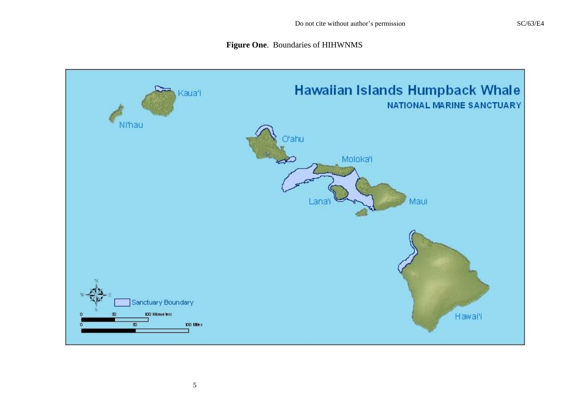# **Figure One**. Boundaries of HIHWNMS